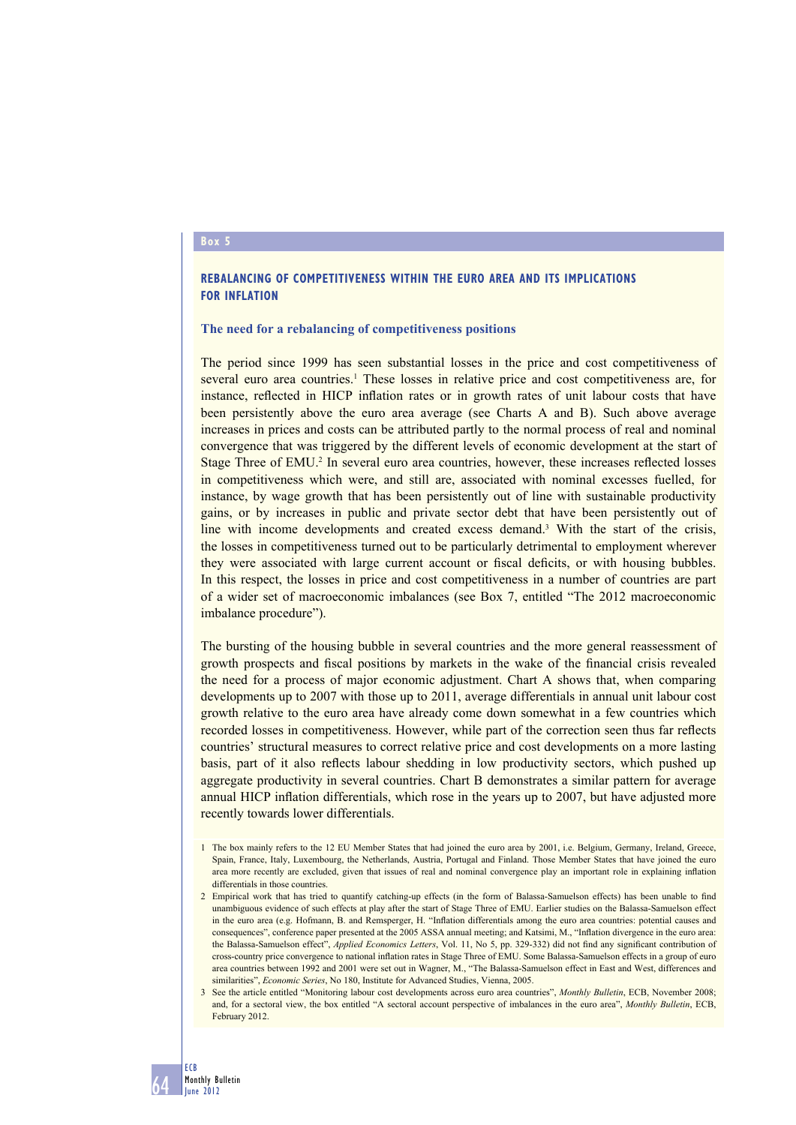### **Box 5**

# **REBALANCING OF COMPETITIVENESS WITHIN THE EURO AREA AND ITS IMPLICATIONS FOR INFLATION**

### **The need for a rebalancing of competitiveness positions**

The period since 1999 has seen substantial losses in the price and cost competitiveness of several euro area countries.<sup>1</sup> These losses in relative price and cost competitiveness are, for instance, reflected in HICP inflation rates or in growth rates of unit labour costs that have been persistently above the euro area average (see Charts A and B). Such above average increases in prices and costs can be attributed partly to the normal process of real and nominal convergence that was triggered by the different levels of economic development at the start of Stage Three of EMU.<sup>2</sup> In several euro area countries, however, these increases reflected losses in competitiveness which were, and still are, associated with nominal excesses fuelled, for instance, by wage growth that has been persistently out of line with sustainable productivity gains, or by increases in public and private sector debt that have been persistently out of line with income developments and created excess demand.<sup>3</sup> With the start of the crisis, the losses in competitiveness turned out to be particularly detrimental to employment wherever they were associated with large current account or fiscal deficits, or with housing bubbles. In this respect, the losses in price and cost competitiveness in a number of countries are part of a wider set of macroeconomic imbalances (see Box 7, entitled "The 2012 macroeconomic imbalance procedure").

The bursting of the housing bubble in several countries and the more general reassessment of growth prospects and fiscal positions by markets in the wake of the financial crisis revealed the need for a process of major economic adjustment. Chart A shows that, when comparing developments up to 2007 with those up to 2011, average differentials in annual unit labour cost growth relative to the euro area have already come down somewhat in a few countries which recorded losses in competitiveness. However, while part of the correction seen thus far reflects countries' structural measures to correct relative price and cost developments on a more lasting basis, part of it also reflects labour shedding in low productivity sectors, which pushed up aggregate productivity in several countries. Chart B demonstrates a similar pattern for average annual HICP inflation differentials, which rose in the years up to 2007, but have adjusted more recently towards lower differentials.

64

<sup>1</sup> The box mainly refers to the 12 EU Member States that had joined the euro area by 2001, i.e. Belgium, Germany, Ireland, Greece, Spain, France, Italy, Luxembourg, the Netherlands, Austria, Portugal and Finland. Those Member States that have joined the euro area more recently are excluded, given that issues of real and nominal convergence play an important role in explaining inflation differentials in those countries.

<sup>2</sup> Empirical work that has tried to quantify catching-up effects (in the form of Balassa-Samuelson effects) has been unable to find unambiguous evidence of such effects at play after the start of Stage Three of EMU. Earlier studies on the Balassa-Samuelson effect in the euro area (e.g. Hofmann, B. and Remsperger, H. "Inflation differentials among the euro area countries: potential causes and consequences", conference paper presented at the 2005 ASSA annual meeting; and Katsimi, M., "Inflation divergence in the euro area: the Balassa-Samuelson effect", *Applied Economics Letters*, Vol. 11, No 5, pp. 329-332) did not find any significant contribution of cross-country price convergence to national inflation rates in Stage Three of EMU. Some Balassa-Samuelson effects in a group of euro area countries between 1992 and 2001 were set out in Wagner, M., "The Balassa-Samuelson effect in East and West, differences and similarities", *Economic Series*, No 180, Institute for Advanced Studies, Vienna, 2005.

<sup>3</sup> See the article entitled "Monitoring labour cost developments across euro area countries", *Monthly Bulletin*, ECB, November 2008; and, for a sectoral view, the box entitled "A sectoral account perspective of imbalances in the euro area", *Monthly Bulletin*, ECB, February 2012.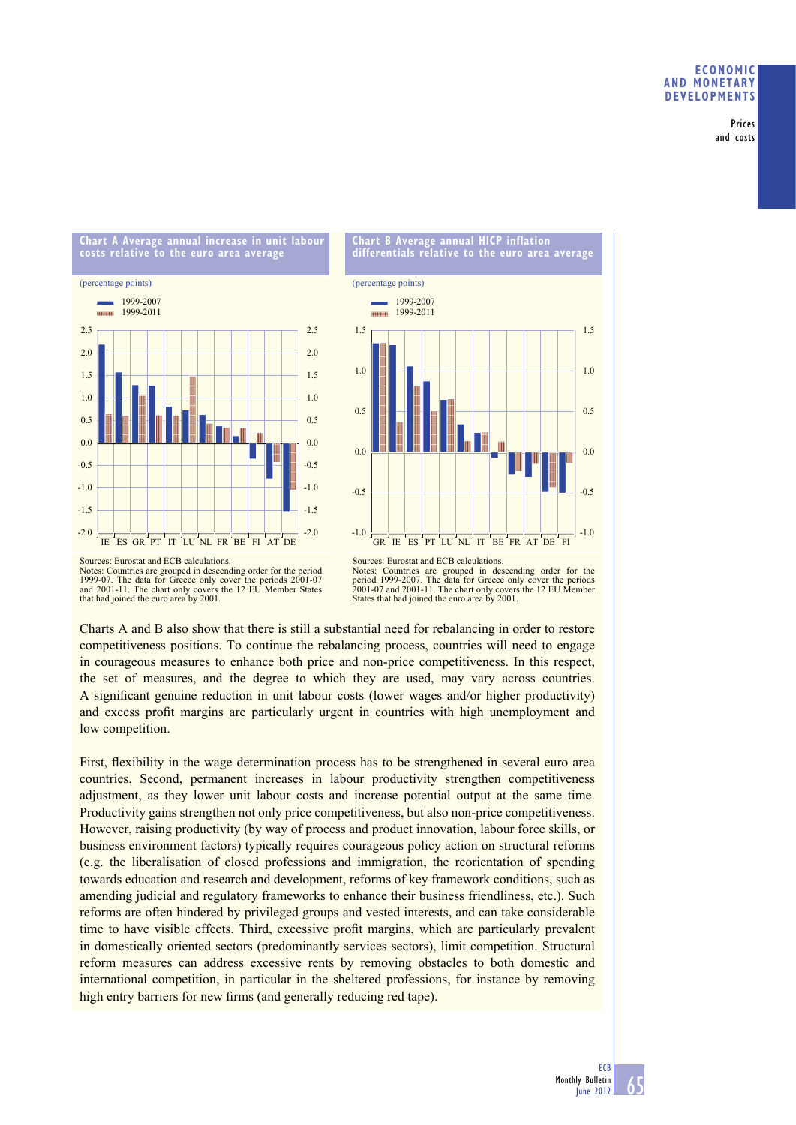# **ECONOMIC AND MONETARY DEVELOPMENTS**

Prices and costs





Notes: Countries are grouped in descending order for the period 1999-07. The data for Greece only cover the periods 2001-07 and 2001-11. The chart only covers the 12 EU Member States that had joined the euro area by 2001.

Sources: Eurostat and ECB calculations. Notes: Countries are grouped in descending order for the period 1999-2007. The data for Greece only cover the periods 2001-07 and 2001-11. The chart only covers the 12 EU Member States that had joined the euro area by 2001.

Charts A and B also show that there is still a substantial need for rebalancing in order to restore competitiveness positions. To continue the rebalancing process, countries will need to engage in courageous measures to enhance both price and non-price competitiveness. In this respect, the set of measures, and the degree to which they are used, may vary across countries. A significant genuine reduction in unit labour costs (lower wages and/or higher productivity) and excess profit margins are particularly urgent in countries with high unemployment and low competition.

First, flexibility in the wage determination process has to be strengthened in several euro area countries. Second, permanent increases in labour productivity strengthen competitiveness adjustment, as they lower unit labour costs and increase potential output at the same time. Productivity gains strengthen not only price competitiveness, but also non-price competitiveness. However, raising productivity (by way of process and product innovation, labour force skills, or business environment factors) typically requires courageous policy action on structural reforms (e.g. the liberalisation of closed professions and immigration, the reorientation of spending towards education and research and development, reforms of key framework conditions, such as amending judicial and regulatory frameworks to enhance their business friendliness, etc.). Such reforms are often hindered by privileged groups and vested interests, and can take considerable time to have visible effects. Third, excessive profit margins, which are particularly prevalent in domestically oriented sectors (predominantly services sectors), limit competition. Structural reform measures can address excessive rents by removing obstacles to both domestic and international competition, in particular in the sheltered professions, for instance by removing high entry barriers for new firms (and generally reducing red tape).